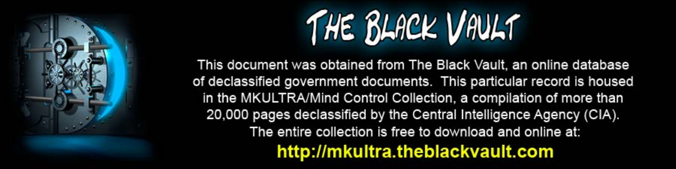

This document was obtained from The Black Vault, an online database of declassified government documents. This particular record is housed in the MKULTRA/Mind Control Collection, a compilation of more than 20,000 pages declassified by the Central Intelligence Agency (CIA). The entire collection is free to download and online at: http://mkultra.theblackvault.com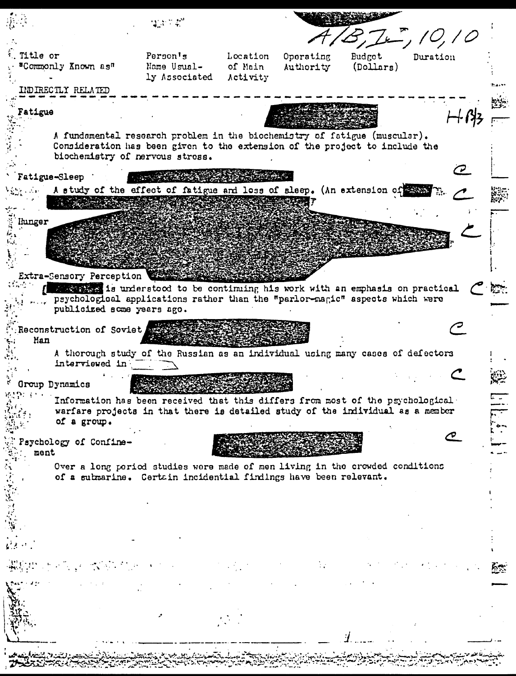